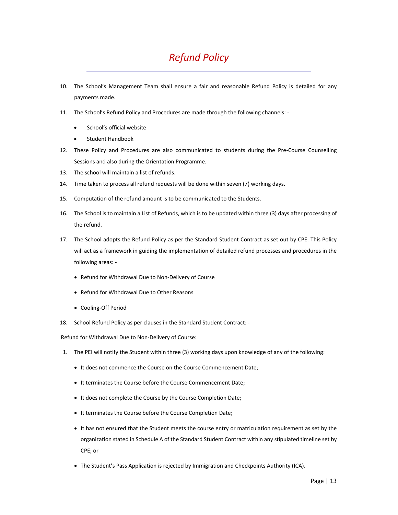## *Refund Policy*

- 10. The School's Management Team shall ensure a fair and reasonable Refund Policy is detailed for any payments made.
- 11. The School's Refund Policy and Procedures are made through the following channels: ‐
	- School's official website
	- Student Handbook
- 12. These Policy and Procedures are also communicated to students during the Pre‐Course Counselling Sessions and also during the Orientation Programme.
- 13. The school will maintain a list of refunds.
- 14. Time taken to process all refund requests will be done within seven (7) working days.
- 15. Computation of the refund amount is to be communicated to the Students.
- 16. The School is to maintain a List of Refunds, which is to be updated within three (3) days after processing of the refund.
- 17. The School adopts the Refund Policy as per the Standard Student Contract as set out by CPE. This Policy will act as a framework in guiding the implementation of detailed refund processes and procedures in the following areas: ‐
	- Refund for Withdrawal Due to Non-Delivery of Course
	- Refund for Withdrawal Due to Other Reasons
	- Cooling-Off Period
- 18. School Refund Policy as per clauses in the Standard Student Contract: -

Refund for Withdrawal Due to Non‐Delivery of Course:

- 1. The PEI will notify the Student within three (3) working days upon knowledge of any of the following:
	- It does not commence the Course on the Course Commencement Date;
	- It terminates the Course before the Course Commencement Date;
	- It does not complete the Course by the Course Completion Date;
	- It terminates the Course before the Course Completion Date;
	- It has not ensured that the Student meets the course entry or matriculation requirement as set by the organization stated in Schedule A of the Standard Student Contract within any stipulated timeline set by CPE; or
	- The Student's Pass Application is rejected by Immigration and Checkpoints Authority (ICA).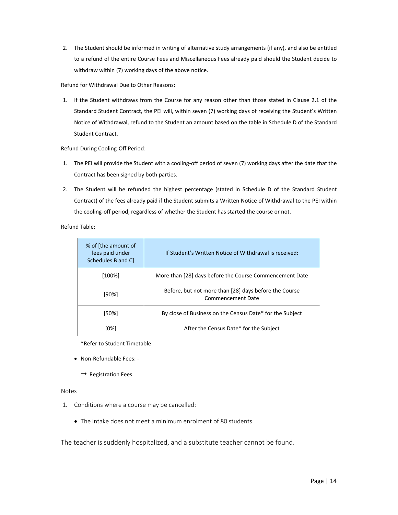2. The Student should be informed in writing of alternative study arrangements (if any), and also be entitled to a refund of the entire Course Fees and Miscellaneous Fees already paid should the Student decide to withdraw within (7) working days of the above notice.

Refund for Withdrawal Due to Other Reasons:

1. If the Student withdraws from the Course for any reason other than those stated in Clause 2.1 of the Standard Student Contract, the PEI will, within seven (7) working days of receiving the Student's Written Notice of Withdrawal, refund to the Student an amount based on the table in Schedule D of the Standard Student Contract.

Refund During Cooling‐Off Period:

- 1. The PEI will provide the Student with a cooling-off period of seven (7) working days after the date that the Contract has been signed by both parties.
- 2. The Student will be refunded the highest percentage (stated in Schedule D of the Standard Student Contract) of the fees already paid if the Student submits a Written Notice of Withdrawal to the PEI within the cooling-off period, regardless of whether the Student has started the course or not.

Refund Table:

| % of [the amount of<br>fees paid under<br>Schedules B and C | If Student's Written Notice of Withdrawal is received:                     |
|-------------------------------------------------------------|----------------------------------------------------------------------------|
| $[100\%]$                                                   | More than [28] days before the Course Commencement Date                    |
| $[90\%]$                                                    | Before, but not more than [28] days before the Course<br>Commencement Date |
| [50%]                                                       | By close of Business on the Census Date* for the Subject                   |
| [0%]                                                        | After the Census Date* for the Subject                                     |

\*Refer to Student Timetable

- Non-Refundable Fees: -
	- $\rightarrow$  Registration Fees

## Notes

- 1. Conditions where a course may be cancelled:
	- The intake does not meet a minimum enrolment of 80 students.

The teacher is suddenly hospitalized, and a substitute teacher cannot be found.